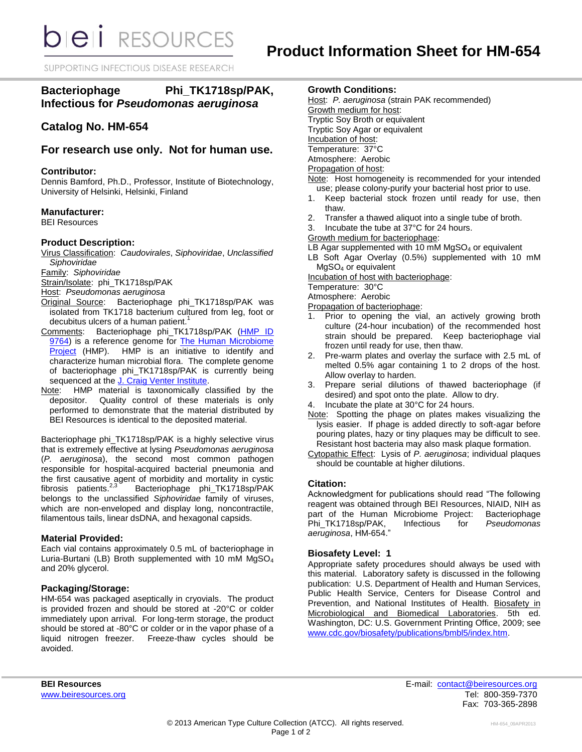SUPPORTING INFECTIOUS DISEASE RESEARCH

# **Bacteriophage Phi\_TK1718sp/PAK, Infectious for** *Pseudomonas aeruginosa*

## **Catalog No. HM-654**

## **For research use only. Not for human use.**

## **Contributor:**

Dennis Bamford, Ph.D., Professor, Institute of Biotechnology, University of Helsinki, Helsinki, Finland

## **Manufacturer:**

BEI Resources

## **Product Description:**

Virus Classification: *Caudovirales*, *Siphoviridae*, *Unclassified Siphoviridae*

Family: *Siphoviridae*

Strain/Isolate: phi\_TK1718sp/PAK

Host: *Pseudomonas aeruginosa*

- Original Source: Bacteriophage phi\_TK1718sp/PAK was isolated from TK1718 bacterium cultured from leg, foot or decubitus ulcers of a human patient.<sup>1</sup>
- Comments: Bacteriophage phi\_TK1718sp/PAK (HMP ID [9764\)](http://www.hmpdacc-resources.org/cgi-bin/hmp_catalog/main.cgi?section=HmpSummary&page=displayHmpProject&hmp_id=9764) is a reference genome for [The Human Microbiome](http://nihroadmap.nih.gov/hmp/)  [Project](http://nihroadmap.nih.gov/hmp/) (HMP). HMP is an initiative to identify and characterize human microbial flora. The complete genome of bacteriophage phi\_TK1718sp/PAK is currently being sequenced at the [J. Craig Venter Institute.](http://hmp.jcvi.org/)
- Note: HMP material is taxonomically classified by the depositor. Quality control of these materials is only performed to demonstrate that the material distributed by BEI Resources is identical to the deposited material.

Bacteriophage phi\_TK1718sp/PAK is a highly selective virus that is extremely effective at lysing *Pseudomonas aeruginosa*  (*P. aeruginosa*), the second most common pathogen responsible for hospital-acquired bacterial pneumonia and the first causative agent of morbidity and mortality in cystic fibrosis patients.<sup>2,3</sup> Bacteriophage phi\_TK1718sp/PAK belongs to the unclassified *Siphoviridae* family of viruses, which are non-enveloped and display long, noncontractile, filamentous tails, linear dsDNA, and hexagonal capsids.

## **Material Provided:**

Each vial contains approximately 0.5 mL of bacteriophage in Luria-Burtani (LB) Broth supplemented with 10 mM MgSO<sup>4</sup> and 20% glycerol.

## **Packaging/Storage:**

HM-654 was packaged aseptically in cryovials. The product is provided frozen and should be stored at -20°C or colder immediately upon arrival. For long-term storage, the product should be stored at -80°C or colder or in the vapor phase of a liquid nitrogen freezer. Freeze-thaw cycles should be avoided.

## **Growth Conditions:**

- Host: *P. aeruginosa* (strain PAK recommended) Growth medium for host: Tryptic Soy Broth or equivalent Tryptic Soy Agar or equivalent Incubation of host: Temperature: 37°C Atmosphere: Aerobic Propagation of host: Note: Host homogeneity is recommended for your intended use; please colony-purify your bacterial host prior to use.
- 1. Keep bacterial stock frozen until ready for use, then thaw.
- 2. Transfer a thawed aliquot into a single tube of broth.
- 3. Incubate the tube at 37°C for 24 hours.
- Growth medium for bacteriophage:

LB Agar supplemented with 10 mM  $MgSO<sub>4</sub>$  or equivalent

LB Soft Agar Overlay (0.5%) supplemented with 10 mM MgSO<sup>4</sup> or equivalent

Incubation of host with bacteriophage:

Temperature: 30°C

Atmosphere: Aerobic

Propagation of bacteriophage:

- 1. Prior to opening the vial, an actively growing broth culture (24-hour incubation) of the recommended host strain should be prepared. Keep bacteriophage vial frozen until ready for use, then thaw.
- 2. Pre-warm plates and overlay the surface with 2.5 mL of melted 0.5% agar containing 1 to 2 drops of the host. Allow overlay to harden.
- 3. Prepare serial dilutions of thawed bacteriophage (if desired) and spot onto the plate. Allow to dry.
- 4. Incubate the plate at 30°C for 24 hours.
- Note: Spotting the phage on plates makes visualizing the lysis easier. If phage is added directly to soft-agar before pouring plates, hazy or tiny plaques may be difficult to see. Resistant host bacteria may also mask plaque formation.
- Cytopathic Effect: Lysis of *P. aeruginosa*; individual plaques should be countable at higher dilutions.

## **Citation:**

Acknowledgment for publications should read "The following reagent was obtained through BEI Resources, NIAID, NIH as part of the Human Microbiome Project: Bacteriophage<br>Phi TK1718sp/PAK. Infectious for Pseudomonas Phi\_TK1718sp/PAK, Infectious for *aeruginosa*, HM-654."

## **Biosafety Level: 1**

Appropriate safety procedures should always be used with this material. Laboratory safety is discussed in the following publication: U.S. Department of Health and Human Services, Public Health Service, Centers for Disease Control and Prevention, and National Institutes of Health. Biosafety in Microbiological and Biomedical Laboratories. 5th ed. Washington, DC: U.S. Government Printing Office, 2009; see [www.cdc.gov/biosafety/publications/bmbl5/index.htm.](http://www.cdc.gov/biosafety/publications/bmbl5/index.htm)

**BEI Resources** E-mail: [contact@beiresources.org](mailto:contact@beiresources.org) [www.beiresources.org](http://www.beiresources.org/) **Tel: 800-359-7370** Fax: 703-365-2898